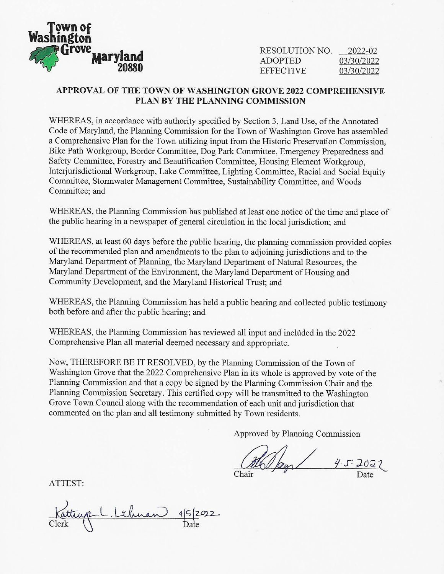

RESOLUTION NO. ADOPTED **EFFECTIVE** 2022-02 03/30/2022 03/30/2022

## **APPROVAL OF THE TOWN OF WASHINGTON GROVE 2022 COMPREHENSIVE PLAN BY THE PLANNING COMMISSION**

WHEREAS, in accordance with authority specified by Section 3, Land Use, of the Annotated Code of Maryland, the Planning Commission for the Town of Washington Grove has assembled a Comprehensive Plan for the Town utilizing input from the Historic Preservation Commission, Bike Path Workgroup, Border Committee, Dog Park Committee, Emergency Preparedness and Safety Committee, Forestry and Beautification Committee, Housing Element Workgroup, Interjurisdictional Workgroup, Lake Committee, Lighting Committee, Racial and Social Equity Committee, Stormwater Management Committee, Sustainability Committee, and Woods Committee; and

WHEREAS, the Planning Commission has published at least one notice of the time and place of the public hearing in a newspaper of general circulation in the local jurisdiction; and

WHEREAS, at least 60 days before the public hearing, the planning commission provided copies of the recommended plan and amendments to the plan to adjoining jurisdictions and to the Maryland Department of Planning, the Maryland Department of Natural Resources, the Maryland Department of the Environment, the Maryland Department of Housing and Community Development, and the Maryland Historical Trust; and

WHEREAS, the Planning Commission has held a public hearing and collected public testimony both before and after the public hearing; and

WHEREAS, the Planning Commission has reviewed all input and included in the 2022 Comprehensive Plan all material deemed necessary and appropriate.

Now, THEREFORE BE IT RESOLVED, by the Planning Commission of the Town of Washington Grove that the 2022 Comprehensive Plan in its whole is approved by vote of the Planning Commission and that a copy be signed by the Planning Commission Chair and the Planning Commission Secretary. This certified copy will be transmitted to the Washington Grove Town Council along with the recommendation of each unit and jurisdiction that commented on the plan and all testimony submitted by Town residents.

Approved by Planning Commission

the legs  $\frac{4.5:2022}{\text{Date}}$ Chair

ATTEST:

Katturp L. Lebnan 15/2022